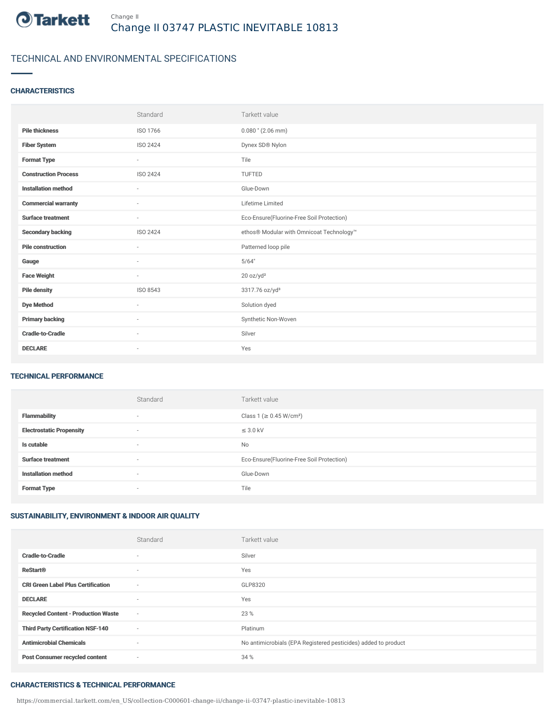

## TECHNICAL AND ENVIRONMENTAL SPECIFICATIONS

### **CHARACTERISTICS**

|                             | Standard                 | Tarkett value                             |
|-----------------------------|--------------------------|-------------------------------------------|
| <b>Pile thickness</b>       | ISO 1766                 | $0.080$ " (2.06 mm)                       |
| <b>Fiber System</b>         | ISO 2424                 | Dynex SD® Nylon                           |
| <b>Format Type</b>          | $\sim$                   | Tile                                      |
| <b>Construction Process</b> | ISO 2424                 | <b>TUFTED</b>                             |
| <b>Installation method</b>  | $\overline{\phantom{a}}$ | Glue-Down                                 |
| <b>Commercial warranty</b>  | ٠                        | Lifetime Limited                          |
| <b>Surface treatment</b>    | $\sim$                   | Eco-Ensure(Fluorine-Free Soil Protection) |
| <b>Secondary backing</b>    | ISO 2424                 | ethos® Modular with Omnicoat Technology™  |
| <b>Pile construction</b>    | $\sim$                   | Patterned loop pile                       |
| Gauge                       | ٠                        | 5/64"                                     |
| <b>Face Weight</b>          | $\overline{\phantom{a}}$ | 20 oz/yd <sup>2</sup>                     |
| <b>Pile density</b>         | ISO 8543                 | 3317.76 oz/yd <sup>3</sup>                |
| <b>Dye Method</b>           | ٠                        | Solution dyed                             |
| <b>Primary backing</b>      | ٠                        | Synthetic Non-Woven                       |
| <b>Cradle-to-Cradle</b>     | $\sim$                   | Silver                                    |
| <b>DECLARE</b>              | ٠                        | Yes                                       |

#### TECHNICAL PERFORMANCE

|                                 | Standard                 | Tarkett value                             |
|---------------------------------|--------------------------|-------------------------------------------|
| <b>Flammability</b>             | $\overline{\phantom{a}}$ | Class 1 (≥ 0.45 W/cm <sup>2</sup> )       |
| <b>Electrostatic Propensity</b> | $\overline{\phantom{a}}$ | $\leq$ 3.0 kV                             |
| Is cutable                      | ٠                        | No                                        |
| <b>Surface treatment</b>        | ٠                        | Eco-Ensure(Fluorine-Free Soil Protection) |
| <b>Installation method</b>      | $\overline{\phantom{a}}$ | Glue-Down                                 |
| <b>Format Type</b>              | $\overline{\phantom{a}}$ | Tile                                      |

## SUSTAINABILITY, ENVIRONMENT & INDOOR AIR QUALITY

|                                            | Standard                 | Tarkett value                                                  |
|--------------------------------------------|--------------------------|----------------------------------------------------------------|
| <b>Cradle-to-Cradle</b>                    | $\overline{\phantom{a}}$ | Silver                                                         |
| <b>ReStart®</b>                            | $\overline{\phantom{a}}$ | Yes                                                            |
| <b>CRI Green Label Plus Certification</b>  | $\overline{\phantom{a}}$ | GLP8320                                                        |
| <b>DECLARE</b>                             | $\overline{\phantom{a}}$ | Yes                                                            |
| <b>Recycled Content - Production Waste</b> | $\sim$                   | 23 %                                                           |
| <b>Third Party Certification NSF-140</b>   | $\sim$                   | Platinum                                                       |
| <b>Antimicrobial Chemicals</b>             | $\sim$                   | No antimicrobials (EPA Registered pesticides) added to product |
| <b>Post Consumer recycled content</b>      | $\overline{\phantom{a}}$ | 34 %                                                           |

### CHARACTERISTICS & TECHNICAL PERFORMANCE